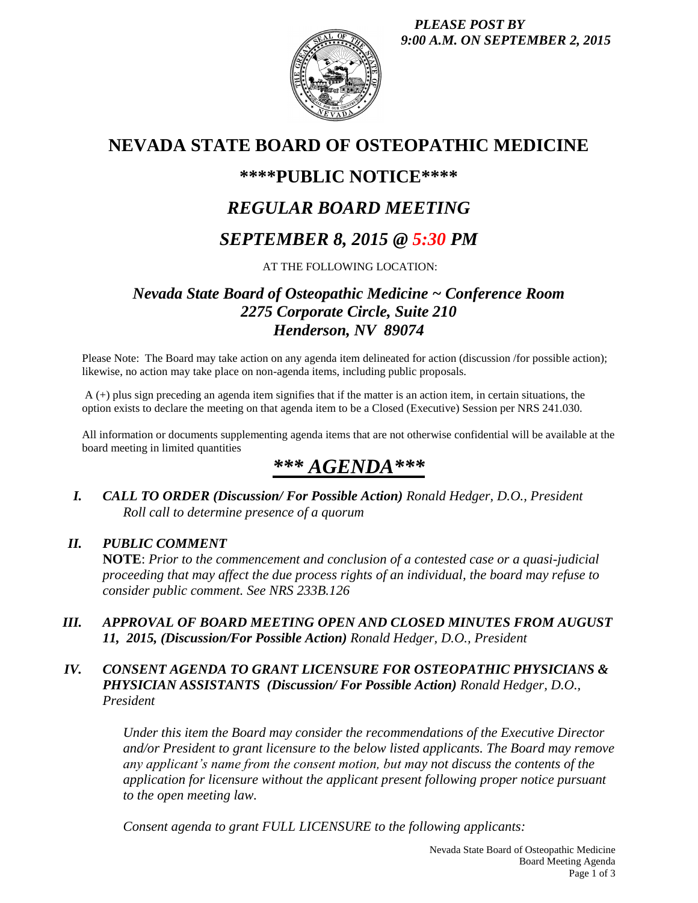*PLEASE POST BY 9:00 A.M. ON SEPTEMBER 2, 2015*



## **NEVADA STATE BOARD OF OSTEOPATHIC MEDICINE**

### **\*\*\*\*PUBLIC NOTICE\*\*\*\***

## *REGULAR BOARD MEETING*

### *SEPTEMBER 8, 2015 @ 5:30 PM*

AT THE FOLLOWING LOCATION:

### *Nevada State Board of Osteopathic Medicine ~ Conference Room 2275 Corporate Circle, Suite 210 Henderson, NV 89074*

Please Note: The Board may take action on any agenda item delineated for action (discussion /for possible action); likewise, no action may take place on non-agenda items, including public proposals.

A (+) plus sign preceding an agenda item signifies that if the matter is an action item, in certain situations, the option exists to declare the meeting on that agenda item to be a Closed (Executive) Session per NRS 241.030.

All information or documents supplementing agenda items that are not otherwise confidential will be available at the board meeting in limited quantities

# *\*\*\* AGENDA\*\*\**

*I. CALL TO ORDER (Discussion/ For Possible Action) Ronald Hedger, D.O., President Roll call to determine presence of a quorum*

#### *II. PUBLIC COMMENT*

**NOTE**: *Prior to the commencement and conclusion of a contested case or a quasi-judicial proceeding that may affect the due process rights of an individual, the board may refuse to consider public comment. See NRS 233B.126*

*III. APPROVAL OF BOARD MEETING OPEN AND CLOSED MINUTES FROM AUGUST 11, 2015, (Discussion/For Possible Action) Ronald Hedger, D.O., President*

### *IV. CONSENT AGENDA TO GRANT LICENSURE FOR OSTEOPATHIC PHYSICIANS & PHYSICIAN ASSISTANTS (Discussion/ For Possible Action) Ronald Hedger, D.O., President*

*Under this item the Board may consider the recommendations of the Executive Director and/or President to grant licensure to the below listed applicants. The Board may remove any applicant's name from the consent motion, but may not discuss the contents of the application for licensure without the applicant present following proper notice pursuant to the open meeting law.* 

*Consent agenda to grant FULL LICENSURE to the following applicants:*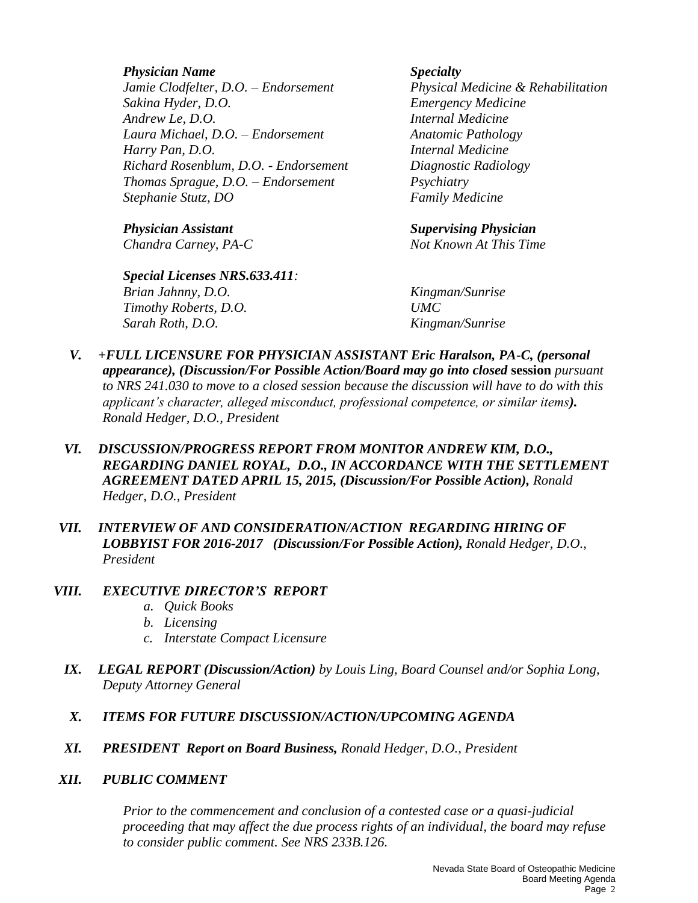*Physician Name Specialty Jamie Clodfelter, D.O. – Endorsement Physical Medicine & Rehabilitation Sakina Hyder, D.O. Emergency Medicine Andrew Le, D.O. Internal Medicine Laura Michael, D.O. – Endorsement Anatomic Pathology Harry Pan, D.O. Internal Medicine Richard Rosenblum, D.O. - Endorsement Diagnostic Radiology Thomas Sprague, D.O. – Endorsement Psychiatry Stephanie Stutz, DO Family Medicine*

*Special Licenses NRS.633.411: Brian Jahnny, D.O. Kingman/Sunrise Timothy Roberts, D.O. UMC Sarah Roth, D.O. Kingman/Sunrise*

*Physician Assistant Supervising Physician*

*Chandra Carney, PA-C Not Known At This Time*

- *V. +FULL LICENSURE FOR PHYSICIAN ASSISTANT Eric Haralson, PA-C, (personal appearance), (Discussion/For Possible Action/Board may go into closed* **session** *pursuant to NRS 241.030 to move to a closed session because the discussion will have to do with this applicant's character, alleged misconduct, professional competence, or similar items). Ronald Hedger, D.O., President*
- *VI. DISCUSSION/PROGRESS REPORT FROM MONITOR ANDREW KIM, D.O., REGARDING DANIEL ROYAL, D.O., IN ACCORDANCE WITH THE SETTLEMENT AGREEMENT DATED APRIL 15, 2015, (Discussion/For Possible Action), Ronald Hedger, D.O., President*
- *VII. INTERVIEW OF AND CONSIDERATION/ACTION REGARDING HIRING OF LOBBYIST FOR 2016-2017 (Discussion/For Possible Action), Ronald Hedger, D.O., President*

#### *VIII. EXECUTIVE DIRECTOR'S REPORT*

- *a. Quick Books*
- *b. Licensing*
- *c. Interstate Compact Licensure*
- *IX. LEGAL REPORT (Discussion/Action) by Louis Ling, Board Counsel and/or Sophia Long, Deputy Attorney General*
- *X. ITEMS FOR FUTURE DISCUSSION/ACTION/UPCOMING AGENDA*
- *XI. PRESIDENT Report on Board Business, Ronald Hedger, D.O., President*
- *XII. PUBLIC COMMENT*

*Prior to the commencement and conclusion of a contested case or a quasi-judicial proceeding that may affect the due process rights of an individual, the board may refuse to consider public comment. See NRS 233B.126.*